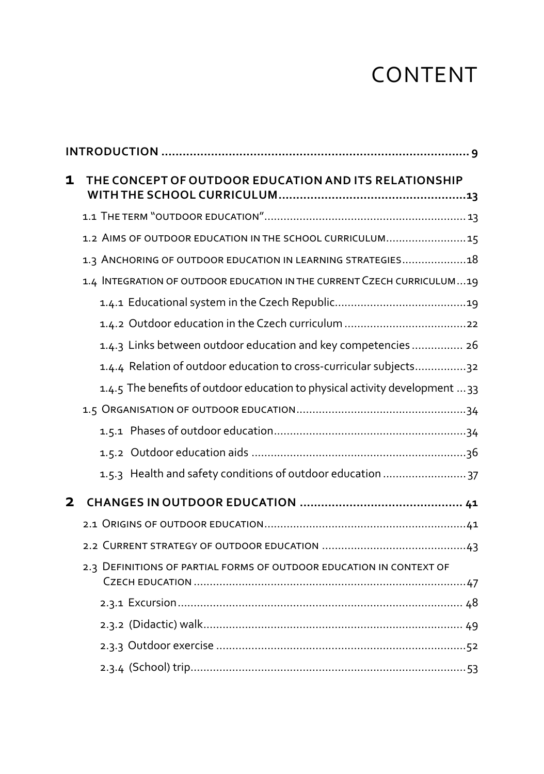## CONTENT

| 1 | THE CONCEPT OF OUTDOOR EDUCATION AND ITS RELATIONSHIP                        |  |
|---|------------------------------------------------------------------------------|--|
|   |                                                                              |  |
|   | 1.2 AIMS OF OUTDOOR EDUCATION IN THE SCHOOL CURRICULUM15                     |  |
|   | 1.3 ANCHORING OF OUTDOOR EDUCATION IN LEARNING STRATEGIES18                  |  |
|   | 1.4 INTEGRATION OF OUTDOOR EDUCATION IN THE CURRENT CZECH CURRICULUM19       |  |
|   |                                                                              |  |
|   |                                                                              |  |
|   | 1.4.3 Links between outdoor education and key competencies 26                |  |
|   | 1.4.4 Relation of outdoor education to cross-curricular subjects32           |  |
|   | 1.4.5 The benefits of outdoor education to physical activity development  33 |  |
|   |                                                                              |  |
|   |                                                                              |  |
|   |                                                                              |  |
|   | 1.5.3 Health and safety conditions of outdoor education  37                  |  |
| 2 |                                                                              |  |
|   |                                                                              |  |
|   |                                                                              |  |
|   | 2.3 DEFINITIONS OF PARTIAL FORMS OF OUTDOOR EDUCATION IN CONTEXT OF          |  |
|   |                                                                              |  |
|   |                                                                              |  |
|   |                                                                              |  |
|   |                                                                              |  |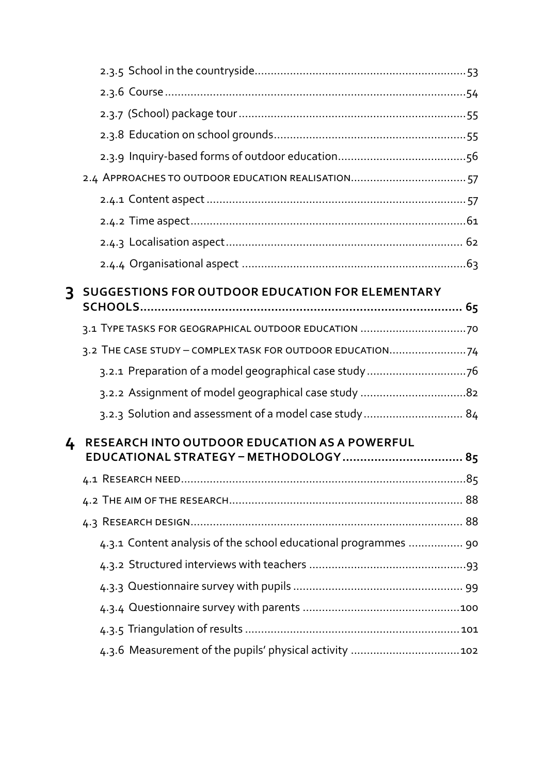| 3 | <b>SUGGESTIONS FOR OUTDOOR EDUCATION FOR ELEMENTARY</b>         |  |
|---|-----------------------------------------------------------------|--|
|   |                                                                 |  |
|   |                                                                 |  |
|   | 3.2 THE CASE STUDY - COMPLEX TASK FOR OUTDOOR EDUCATION74       |  |
|   |                                                                 |  |
|   | 3.2.2 Assignment of model geographical case study 82            |  |
|   | 3.2.3 Solution and assessment of a model case study 84          |  |
| 4 | RESEARCH INTO OUTDOOR EDUCATION AS A POWERFUL                   |  |
|   | EDUCATIONAL STRATEGY - METHODOLOGY  85                          |  |
|   |                                                                 |  |
|   |                                                                 |  |
|   |                                                                 |  |
|   | 4.3.1 Content analysis of the school educational programmes  90 |  |
|   |                                                                 |  |
|   |                                                                 |  |
|   |                                                                 |  |
|   |                                                                 |  |
|   |                                                                 |  |
|   |                                                                 |  |